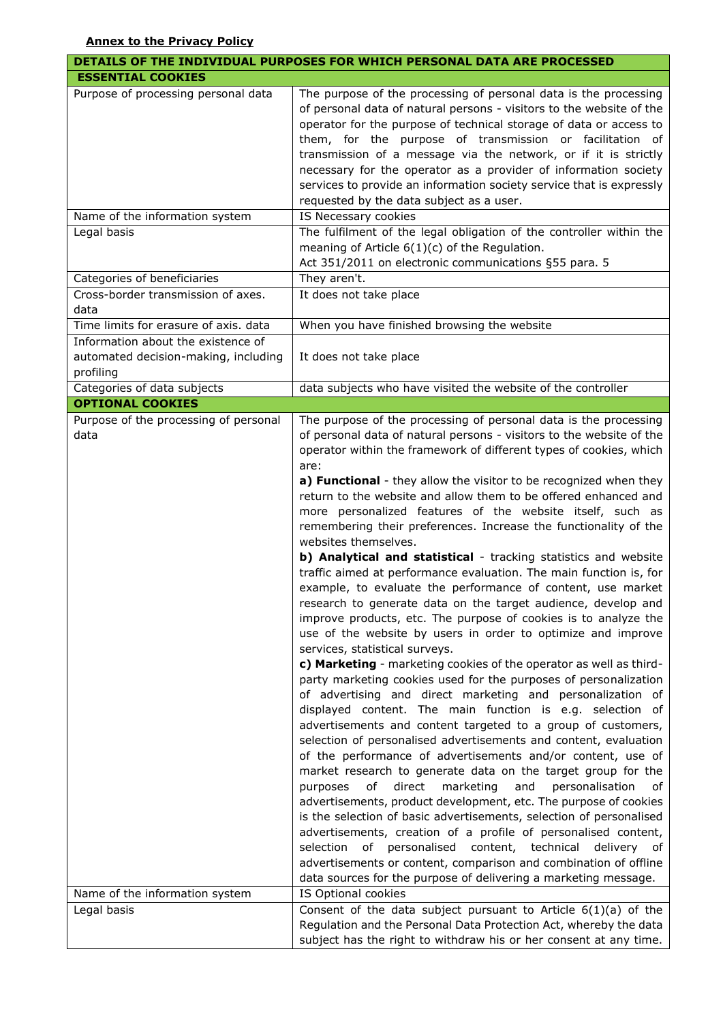|                                                                                         | DETAILS OF THE INDIVIDUAL PURPOSES FOR WHICH PERSONAL DATA ARE PROCESSED                                                                                                                                                                                                                                                                                                                                                                                                                                                                                                                                                                                                                                                                                                                                                                                                                                                                                                                                                                                                                                                                                                                                                                                                                                                                                                                                                                                                                                                                                                                                                                                                                                                                                                                                                                                                                                                                                                                                        |
|-----------------------------------------------------------------------------------------|-----------------------------------------------------------------------------------------------------------------------------------------------------------------------------------------------------------------------------------------------------------------------------------------------------------------------------------------------------------------------------------------------------------------------------------------------------------------------------------------------------------------------------------------------------------------------------------------------------------------------------------------------------------------------------------------------------------------------------------------------------------------------------------------------------------------------------------------------------------------------------------------------------------------------------------------------------------------------------------------------------------------------------------------------------------------------------------------------------------------------------------------------------------------------------------------------------------------------------------------------------------------------------------------------------------------------------------------------------------------------------------------------------------------------------------------------------------------------------------------------------------------------------------------------------------------------------------------------------------------------------------------------------------------------------------------------------------------------------------------------------------------------------------------------------------------------------------------------------------------------------------------------------------------------------------------------------------------------------------------------------------------|
| <b>ESSENTIAL COOKIES</b>                                                                |                                                                                                                                                                                                                                                                                                                                                                                                                                                                                                                                                                                                                                                                                                                                                                                                                                                                                                                                                                                                                                                                                                                                                                                                                                                                                                                                                                                                                                                                                                                                                                                                                                                                                                                                                                                                                                                                                                                                                                                                                 |
| Purpose of processing personal data                                                     | The purpose of the processing of personal data is the processing<br>of personal data of natural persons - visitors to the website of the<br>operator for the purpose of technical storage of data or access to<br>them, for the purpose of transmission or facilitation of<br>transmission of a message via the network, or if it is strictly<br>necessary for the operator as a provider of information society<br>services to provide an information society service that is expressly<br>requested by the data subject as a user.                                                                                                                                                                                                                                                                                                                                                                                                                                                                                                                                                                                                                                                                                                                                                                                                                                                                                                                                                                                                                                                                                                                                                                                                                                                                                                                                                                                                                                                                            |
| Name of the information system                                                          | IS Necessary cookies                                                                                                                                                                                                                                                                                                                                                                                                                                                                                                                                                                                                                                                                                                                                                                                                                                                                                                                                                                                                                                                                                                                                                                                                                                                                                                                                                                                                                                                                                                                                                                                                                                                                                                                                                                                                                                                                                                                                                                                            |
| Legal basis                                                                             | The fulfilment of the legal obligation of the controller within the<br>meaning of Article $6(1)(c)$ of the Regulation.<br>Act 351/2011 on electronic communications §55 para. 5                                                                                                                                                                                                                                                                                                                                                                                                                                                                                                                                                                                                                                                                                                                                                                                                                                                                                                                                                                                                                                                                                                                                                                                                                                                                                                                                                                                                                                                                                                                                                                                                                                                                                                                                                                                                                                 |
| Categories of beneficiaries                                                             | They aren't.                                                                                                                                                                                                                                                                                                                                                                                                                                                                                                                                                                                                                                                                                                                                                                                                                                                                                                                                                                                                                                                                                                                                                                                                                                                                                                                                                                                                                                                                                                                                                                                                                                                                                                                                                                                                                                                                                                                                                                                                    |
| Cross-border transmission of axes.<br>data                                              | It does not take place                                                                                                                                                                                                                                                                                                                                                                                                                                                                                                                                                                                                                                                                                                                                                                                                                                                                                                                                                                                                                                                                                                                                                                                                                                                                                                                                                                                                                                                                                                                                                                                                                                                                                                                                                                                                                                                                                                                                                                                          |
| Time limits for erasure of axis. data                                                   | When you have finished browsing the website                                                                                                                                                                                                                                                                                                                                                                                                                                                                                                                                                                                                                                                                                                                                                                                                                                                                                                                                                                                                                                                                                                                                                                                                                                                                                                                                                                                                                                                                                                                                                                                                                                                                                                                                                                                                                                                                                                                                                                     |
| Information about the existence of<br>automated decision-making, including<br>profiling | It does not take place                                                                                                                                                                                                                                                                                                                                                                                                                                                                                                                                                                                                                                                                                                                                                                                                                                                                                                                                                                                                                                                                                                                                                                                                                                                                                                                                                                                                                                                                                                                                                                                                                                                                                                                                                                                                                                                                                                                                                                                          |
| Categories of data subjects                                                             | data subjects who have visited the website of the controller                                                                                                                                                                                                                                                                                                                                                                                                                                                                                                                                                                                                                                                                                                                                                                                                                                                                                                                                                                                                                                                                                                                                                                                                                                                                                                                                                                                                                                                                                                                                                                                                                                                                                                                                                                                                                                                                                                                                                    |
| <b>OPTIONAL COOKIES</b>                                                                 |                                                                                                                                                                                                                                                                                                                                                                                                                                                                                                                                                                                                                                                                                                                                                                                                                                                                                                                                                                                                                                                                                                                                                                                                                                                                                                                                                                                                                                                                                                                                                                                                                                                                                                                                                                                                                                                                                                                                                                                                                 |
| Purpose of the processing of personal<br>data                                           | The purpose of the processing of personal data is the processing<br>of personal data of natural persons - visitors to the website of the<br>operator within the framework of different types of cookies, which<br>are:<br>a) Functional - they allow the visitor to be recognized when they<br>return to the website and allow them to be offered enhanced and<br>more personalized features of the website itself, such as<br>remembering their preferences. Increase the functionality of the<br>websites themselves.<br>b) Analytical and statistical - tracking statistics and website<br>traffic aimed at performance evaluation. The main function is, for<br>example, to evaluate the performance of content, use market<br>research to generate data on the target audience, develop and<br>improve products, etc. The purpose of cookies is to analyze the<br>use of the website by users in order to optimize and improve<br>services, statistical surveys.<br>c) Marketing - marketing cookies of the operator as well as third-<br>party marketing cookies used for the purposes of personalization<br>of advertising and direct marketing and personalization of<br>displayed content. The main function is e.g. selection of<br>advertisements and content targeted to a group of customers,<br>selection of personalised advertisements and content, evaluation<br>of the performance of advertisements and/or content, use of<br>market research to generate data on the target group for the<br>direct<br>marketing<br>and<br>personalisation<br>purposes<br>of<br>of<br>advertisements, product development, etc. The purpose of cookies<br>is the selection of basic advertisements, selection of personalised<br>advertisements, creation of a profile of personalised content,<br>personalised content, technical<br>selection<br>of<br>delivery of<br>advertisements or content, comparison and combination of offline<br>data sources for the purpose of delivering a marketing message. |
| Name of the information system                                                          | IS Optional cookies                                                                                                                                                                                                                                                                                                                                                                                                                                                                                                                                                                                                                                                                                                                                                                                                                                                                                                                                                                                                                                                                                                                                                                                                                                                                                                                                                                                                                                                                                                                                                                                                                                                                                                                                                                                                                                                                                                                                                                                             |
| Legal basis                                                                             | Consent of the data subject pursuant to Article $6(1)(a)$ of the<br>Regulation and the Personal Data Protection Act, whereby the data<br>subject has the right to withdraw his or her consent at any time.                                                                                                                                                                                                                                                                                                                                                                                                                                                                                                                                                                                                                                                                                                                                                                                                                                                                                                                                                                                                                                                                                                                                                                                                                                                                                                                                                                                                                                                                                                                                                                                                                                                                                                                                                                                                      |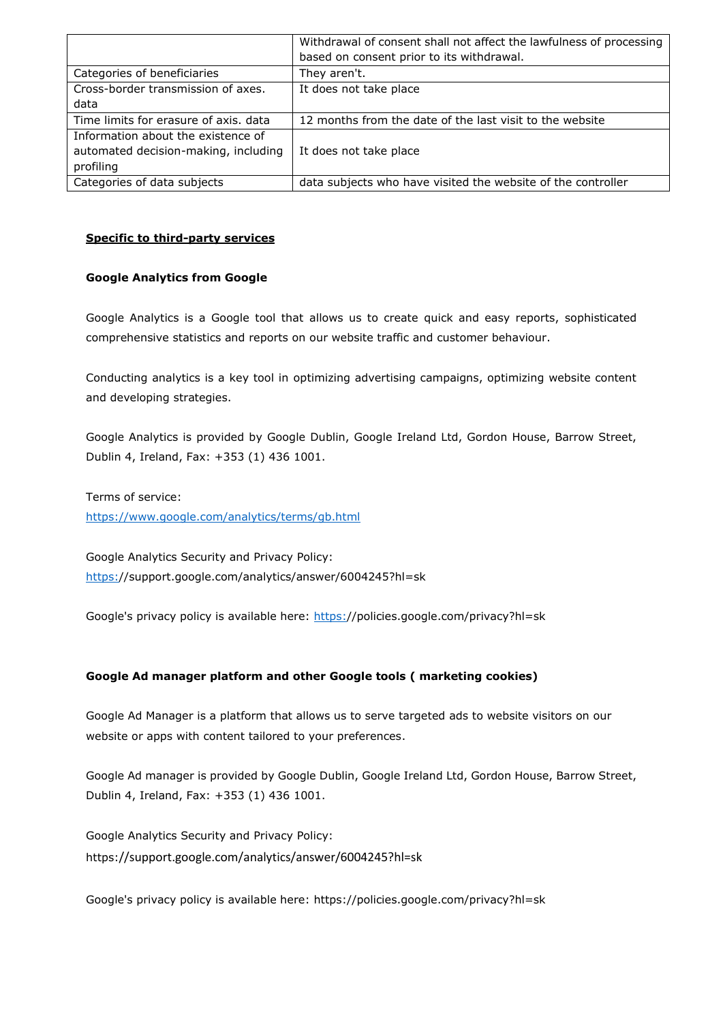|                                       | Withdrawal of consent shall not affect the lawfulness of processing |
|---------------------------------------|---------------------------------------------------------------------|
|                                       | based on consent prior to its withdrawal.                           |
| Categories of beneficiaries           | They aren't.                                                        |
| Cross-border transmission of axes.    | It does not take place                                              |
| data                                  |                                                                     |
| Time limits for erasure of axis, data | 12 months from the date of the last visit to the website            |
| Information about the existence of    |                                                                     |
| automated decision-making, including  | It does not take place                                              |
| profiling                             |                                                                     |
| Categories of data subjects           | data subjects who have visited the website of the controller        |

## **Specific to third-party services**

## **Google Analytics from Google**

Google Analytics is a Google tool that allows us to create quick and easy reports, sophisticated comprehensive statistics and reports on our website traffic and customer behaviour.

Conducting analytics is a key tool in optimizing advertising campaigns, optimizing website content and developing strategies.

Google Analytics is provided by Google Dublin, Google Ireland Ltd, Gordon House, Barrow Street, Dublin 4, Ireland, Fax: +353 (1) 436 1001.

Terms of service: <https://www.google.com/analytics/terms/gb.html>

Google Analytics Security and Privacy Policy: [https:/](https://support.google.com/analytics/answer/6004245?hl=sk)/support.google.com/analytics/answer/6004245?hl=sk

Google's privacy policy is available here: [https:/](https://policies.google.com/privacy?hl=sk)/policies.google.com/privacy?hl=sk

## **Google Ad manager platform and other Google tools ( marketing cookies)**

Google Ad Manager is a platform that allows us to serve targeted ads to website visitors on our website or apps with content tailored to your preferences.

Google Ad manager is provided by Google Dublin, Google Ireland Ltd, Gordon House, Barrow Street, Dublin 4, Ireland, Fax: +353 (1) 436 1001.

Google Analytics Security and Privacy Policy: https://support.google.com/analytics/answer/6004245?hl=sk

Google's privacy policy is available here: https://policies.google.com/privacy?hl=sk